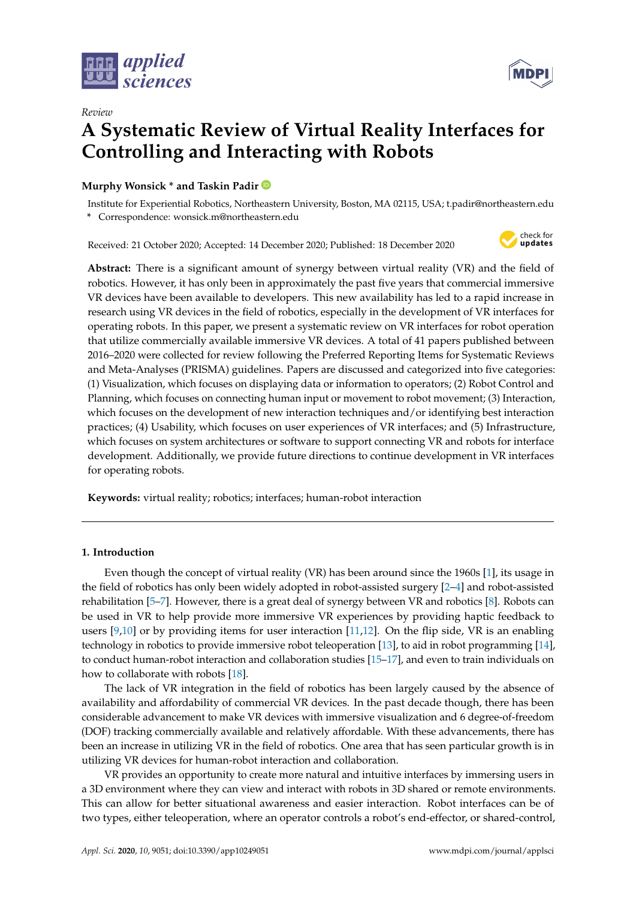

*Review*



# **A Systematic Review of Virtual Reality Interfaces for Controlling and Interacting with Robots**

# **Murphy Wonsick \* and Taskin Padir**

Institute for Experiential Robotics, Northeastern University, Boston, MA 02115, USA; t.padir@northeastern.edu **\*** Correspondence: wonsick.m@northeastern.edu

Received: 21 October 2020; Accepted: 14 December 2020; Published: 18 December 2020



**Abstract:** There is a significant amount of synergy between virtual reality (VR) and the field of robotics. However, it has only been in approximately the past five years that commercial immersive VR devices have been available to developers. This new availability has led to a rapid increase in research using VR devices in the field of robotics, especially in the development of VR interfaces for operating robots. In this paper, we present a systematic review on VR interfaces for robot operation that utilize commercially available immersive VR devices. A total of 41 papers published between 2016–2020 were collected for review following the Preferred Reporting Items for Systematic Reviews and Meta-Analyses (PRISMA) guidelines. Papers are discussed and categorized into five categories: (1) Visualization, which focuses on displaying data or information to operators; (2) Robot Control and Planning, which focuses on connecting human input or movement to robot movement; (3) Interaction, which focuses on the development of new interaction techniques and/or identifying best interaction practices; (4) Usability, which focuses on user experiences of VR interfaces; and (5) Infrastructure, which focuses on system architectures or software to support connecting VR and robots for interface development. Additionally, we provide future directions to continue development in VR interfaces for operating robots.

**Keywords:** virtual reality; robotics; interfaces; human-robot interaction

# **1. Introduction**

Even though the concept of virtual reality (VR) has been around since the 1960s [\[1\]](#page-12-0), its usage in the field of robotics has only been widely adopted in robot-assisted surgery [\[2](#page-12-1)[–4\]](#page-12-2) and robot-assisted rehabilitation [\[5](#page-12-3)[–7\]](#page-13-0). However, there is a great deal of synergy between VR and robotics [\[8\]](#page-13-1). Robots can be used in VR to help provide more immersive VR experiences by providing haptic feedback to users [\[9,](#page-13-2)[10\]](#page-13-3) or by providing items for user interaction [\[11,](#page-13-4)[12\]](#page-13-5). On the flip side, VR is an enabling technology in robotics to provide immersive robot teleoperation [\[13\]](#page-13-6), to aid in robot programming [\[14\]](#page-13-7), to conduct human-robot interaction and collaboration studies [\[15](#page-13-8)[–17\]](#page-13-9), and even to train individuals on how to collaborate with robots [\[18\]](#page-13-10).

The lack of VR integration in the field of robotics has been largely caused by the absence of availability and affordability of commercial VR devices. In the past decade though, there has been considerable advancement to make VR devices with immersive visualization and 6 degree-of-freedom (DOF) tracking commercially available and relatively affordable. With these advancements, there has been an increase in utilizing VR in the field of robotics. One area that has seen particular growth is in utilizing VR devices for human-robot interaction and collaboration.

VR provides an opportunity to create more natural and intuitive interfaces by immersing users in a 3D environment where they can view and interact with robots in 3D shared or remote environments. This can allow for better situational awareness and easier interaction. Robot interfaces can be of two types, either teleoperation, where an operator controls a robot's end-effector, or shared-control,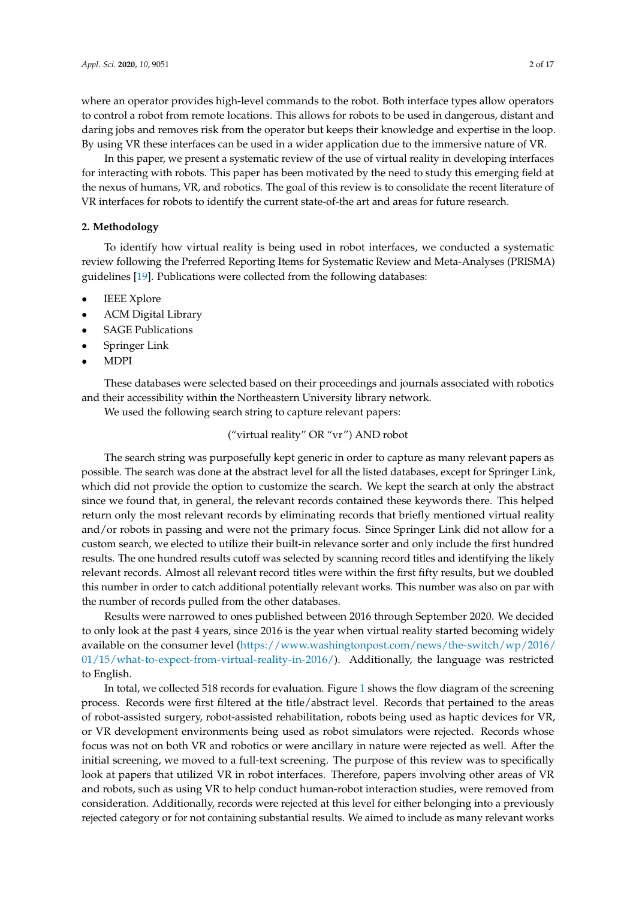where an operator provides high-level commands to the robot. Both interface types allow operators to control a robot from remote locations. This allows for robots to be used in dangerous, distant and daring jobs and removes risk from the operator but keeps their knowledge and expertise in the loop. By using VR these interfaces can be used in a wider application due to the immersive nature of VR.

In this paper, we present a systematic review of the use of virtual reality in developing interfaces for interacting with robots. This paper has been motivated by the need to study this emerging field at the nexus of humans, VR, and robotics. The goal of this review is to consolidate the recent literature of VR interfaces for robots to identify the current state-of-the art and areas for future research.

# **2. Methodology**

To identify how virtual reality is being used in robot interfaces, we conducted a systematic review following the Preferred Reporting Items for Systematic Review and Meta-Analyses (PRISMA) guidelines [\[19\]](#page-13-11). Publications were collected from the following databases:

- **IEEE** Xplore
- ACM Digital Library
- **SAGE Publications**
- Springer Link
- MDPI

These databases were selected based on their proceedings and journals associated with robotics and their accessibility within the Northeastern University library network.

We used the following search string to capture relevant papers:

("virtual reality" OR "vr") AND robot

The search string was purposefully kept generic in order to capture as many relevant papers as possible. The search was done at the abstract level for all the listed databases, except for Springer Link, which did not provide the option to customize the search. We kept the search at only the abstract since we found that, in general, the relevant records contained these keywords there. This helped return only the most relevant records by eliminating records that briefly mentioned virtual reality and/or robots in passing and were not the primary focus. Since Springer Link did not allow for a custom search, we elected to utilize their built-in relevance sorter and only include the first hundred results. The one hundred results cutoff was selected by scanning record titles and identifying the likely relevant records. Almost all relevant record titles were within the first fifty results, but we doubled this number in order to catch additional potentially relevant works. This number was also on par with the number of records pulled from the other databases.

Results were narrowed to ones published between 2016 through September 2020. We decided to only look at the past 4 years, since 2016 is the year when virtual reality started becoming widely available on the consumer level [\(https://www.washingtonpost.com/news/the-switch/wp/2016/](https://www.washingtonpost.com/news/the-switch/wp/2016/01/15/what-to-expect-from-virtual-reality-in-2016/) [01/15/what-to-expect-from-virtual-reality-in-2016/\)](https://www.washingtonpost.com/news/the-switch/wp/2016/01/15/what-to-expect-from-virtual-reality-in-2016/). Additionally, the language was restricted to English.

In total, we collected 518 records for evaluation. Figure [1](#page-2-0) shows the flow diagram of the screening process. Records were first filtered at the title/abstract level. Records that pertained to the areas of robot-assisted surgery, robot-assisted rehabilitation, robots being used as haptic devices for VR, or VR development environments being used as robot simulators were rejected. Records whose focus was not on both VR and robotics or were ancillary in nature were rejected as well. After the initial screening, we moved to a full-text screening. The purpose of this review was to specifically look at papers that utilized VR in robot interfaces. Therefore, papers involving other areas of VR and robots, such as using VR to help conduct human-robot interaction studies, were removed from consideration. Additionally, records were rejected at this level for either belonging into a previously rejected category or for not containing substantial results. We aimed to include as many relevant works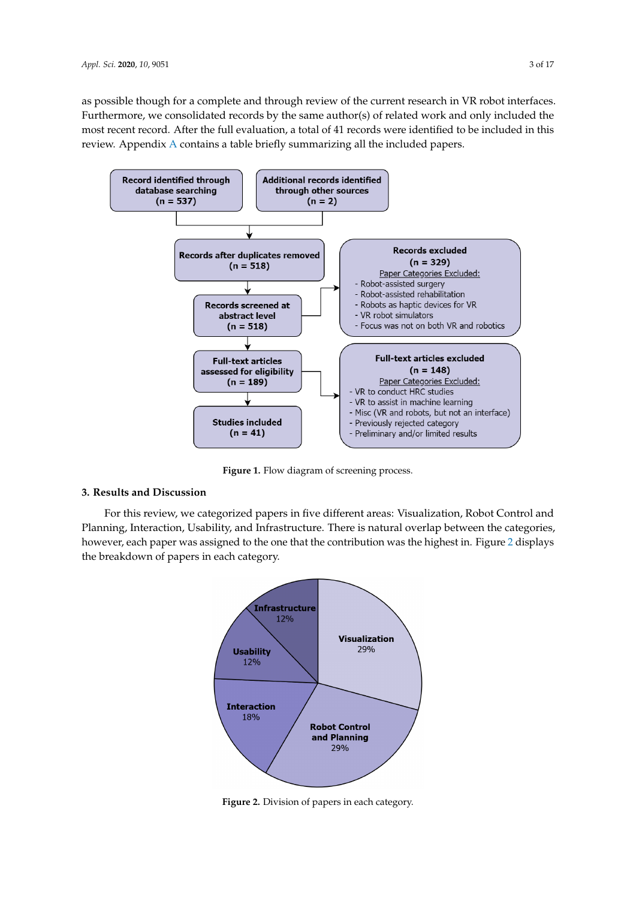as possible though for a complete and through review of the current research in VR robot interfaces. Furthermore, we consolidated records by the same author(s) of related work and only included the most recent record. After the full evaluation, a total of 41 records were identified to be included in this review. Appendix [A](#page-10-0) contains a table briefly summarizing all the included papers.

<span id="page-2-0"></span>

**Figure 1.** Flow diagram of screening process.

# **3. Results and Discussion**

<span id="page-2-1"></span>For this review, we categorized papers in five different areas: Visualization, Robot Control and Planning, Interaction, Usability, and Infrastructure. There is natural overlap between the categories, however, each paper was assigned to the one that the contribution was the highest in. Figure [2](#page-2-1) displays the breakdown of papers in each category.



**Figure 2.** Division of papers in each category.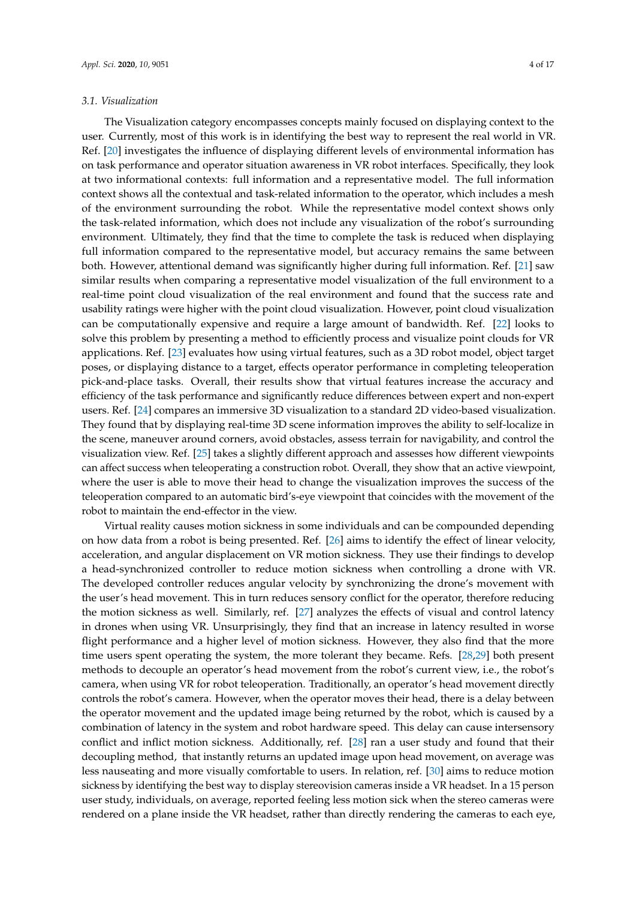#### *3.1. Visualization*

The Visualization category encompasses concepts mainly focused on displaying context to the user. Currently, most of this work is in identifying the best way to represent the real world in VR. Ref. [\[20\]](#page-13-12) investigates the influence of displaying different levels of environmental information has on task performance and operator situation awareness in VR robot interfaces. Specifically, they look at two informational contexts: full information and a representative model. The full information context shows all the contextual and task-related information to the operator, which includes a mesh of the environment surrounding the robot. While the representative model context shows only the task-related information, which does not include any visualization of the robot's surrounding environment. Ultimately, they find that the time to complete the task is reduced when displaying full information compared to the representative model, but accuracy remains the same between both. However, attentional demand was significantly higher during full information. Ref. [\[21\]](#page-13-13) saw similar results when comparing a representative model visualization of the full environment to a real-time point cloud visualization of the real environment and found that the success rate and usability ratings were higher with the point cloud visualization. However, point cloud visualization can be computationally expensive and require a large amount of bandwidth. Ref. [\[22\]](#page-13-14) looks to solve this problem by presenting a method to efficiently process and visualize point clouds for VR applications. Ref. [\[23\]](#page-13-15) evaluates how using virtual features, such as a 3D robot model, object target poses, or displaying distance to a target, effects operator performance in completing teleoperation pick-and-place tasks. Overall, their results show that virtual features increase the accuracy and efficiency of the task performance and significantly reduce differences between expert and non-expert users. Ref. [\[24\]](#page-14-0) compares an immersive 3D visualization to a standard 2D video-based visualization. They found that by displaying real-time 3D scene information improves the ability to self-localize in the scene, maneuver around corners, avoid obstacles, assess terrain for navigability, and control the visualization view. Ref. [\[25\]](#page-14-1) takes a slightly different approach and assesses how different viewpoints can affect success when teleoperating a construction robot. Overall, they show that an active viewpoint, where the user is able to move their head to change the visualization improves the success of the teleoperation compared to an automatic bird's-eye viewpoint that coincides with the movement of the robot to maintain the end-effector in the view.

Virtual reality causes motion sickness in some individuals and can be compounded depending on how data from a robot is being presented. Ref. [\[26\]](#page-14-2) aims to identify the effect of linear velocity, acceleration, and angular displacement on VR motion sickness. They use their findings to develop a head-synchronized controller to reduce motion sickness when controlling a drone with VR. The developed controller reduces angular velocity by synchronizing the drone's movement with the user's head movement. This in turn reduces sensory conflict for the operator, therefore reducing the motion sickness as well. Similarly, ref. [\[27\]](#page-14-3) analyzes the effects of visual and control latency in drones when using VR. Unsurprisingly, they find that an increase in latency resulted in worse flight performance and a higher level of motion sickness. However, they also find that the more time users spent operating the system, the more tolerant they became. Refs. [\[28,](#page-14-4)[29\]](#page-14-5) both present methods to decouple an operator's head movement from the robot's current view, i.e., the robot's camera, when using VR for robot teleoperation. Traditionally, an operator's head movement directly controls the robot's camera. However, when the operator moves their head, there is a delay between the operator movement and the updated image being returned by the robot, which is caused by a combination of latency in the system and robot hardware speed. This delay can cause intersensory conflict and inflict motion sickness. Additionally, ref. [\[28\]](#page-14-4) ran a user study and found that their decoupling method, that instantly returns an updated image upon head movement, on average was less nauseating and more visually comfortable to users. In relation, ref. [\[30\]](#page-14-6) aims to reduce motion sickness by identifying the best way to display stereovision cameras inside a VR headset. In a 15 person user study, individuals, on average, reported feeling less motion sick when the stereo cameras were rendered on a plane inside the VR headset, rather than directly rendering the cameras to each eye,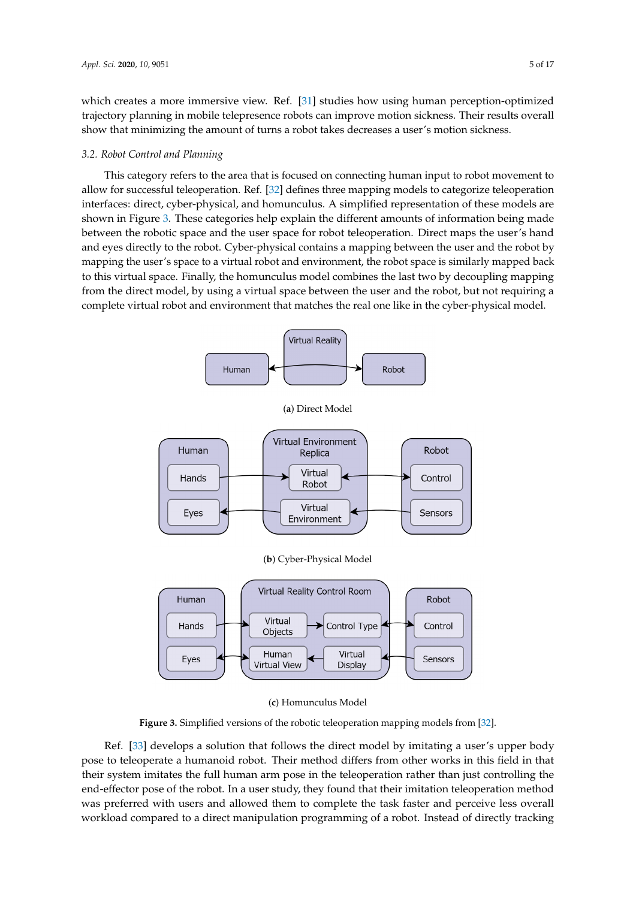which creates a more immersive view. Ref. [\[31\]](#page-14-7) studies how using human perception-optimized trajectory planning in mobile telepresence robots can improve motion sickness. Their results overall show that minimizing the amount of turns a robot takes decreases a user's motion sickness.

#### *3.2. Robot Control and Planning*

This category refers to the area that is focused on connecting human input to robot movement to allow for successful teleoperation. Ref. [\[32\]](#page-14-8) defines three mapping models to categorize teleoperation interfaces: direct, cyber-physical, and homunculus. A simplified representation of these models are shown in Figure [3.](#page-4-0) These categories help explain the different amounts of information being made between the robotic space and the user space for robot teleoperation. Direct maps the user's hand and eyes directly to the robot. Cyber-physical contains a mapping between the user and the robot by mapping the user's space to a virtual robot and environment, the robot space is similarly mapped back to this virtual space. Finally, the homunculus model combines the last two by decoupling mapping from the direct model, by using a virtual space between the user and the robot, but not requiring a complete virtual robot and environment that matches the real one like in the cyber-physical model.

<span id="page-4-0"></span>

(**c**) Homunculus Model

**Figure 3.** Simplified versions of the robotic teleoperation mapping models from [\[32\]](#page-14-8).

Ref. [\[33\]](#page-14-9) develops a solution that follows the direct model by imitating a user's upper body pose to teleoperate a humanoid robot. Their method differs from other works in this field in that their system imitates the full human arm pose in the teleoperation rather than just controlling the end-effector pose of the robot. In a user study, they found that their imitation teleoperation method was preferred with users and allowed them to complete the task faster and perceive less overall workload compared to a direct manipulation programming of a robot. Instead of directly tracking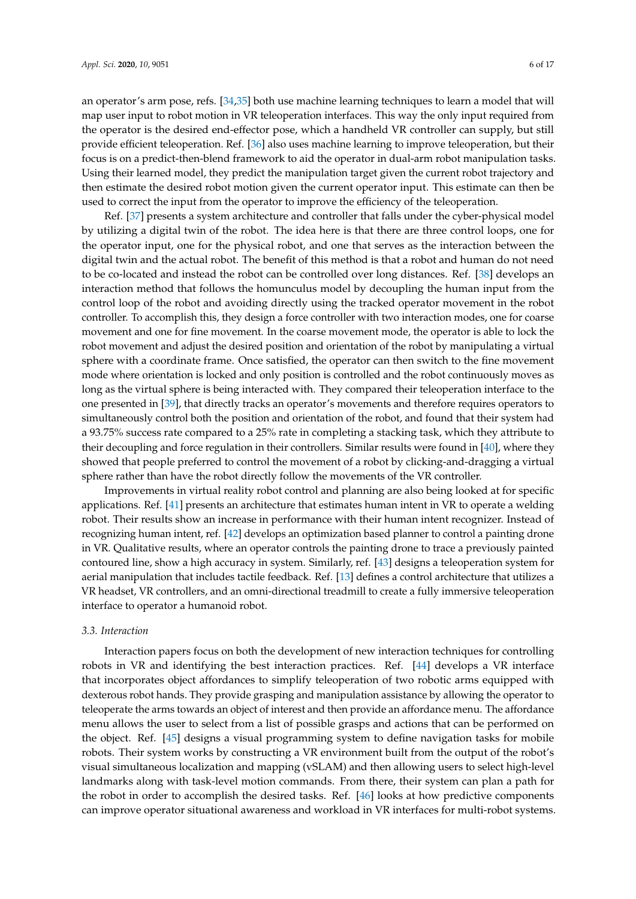an operator's arm pose, refs. [\[34,](#page-14-10)[35\]](#page-14-11) both use machine learning techniques to learn a model that will map user input to robot motion in VR teleoperation interfaces. This way the only input required from the operator is the desired end-effector pose, which a handheld VR controller can supply, but still provide efficient teleoperation. Ref. [\[36\]](#page-14-12) also uses machine learning to improve teleoperation, but their focus is on a predict-then-blend framework to aid the operator in dual-arm robot manipulation tasks. Using their learned model, they predict the manipulation target given the current robot trajectory and then estimate the desired robot motion given the current operator input. This estimate can then be used to correct the input from the operator to improve the efficiency of the teleoperation.

Ref. [\[37\]](#page-14-13) presents a system architecture and controller that falls under the cyber-physical model by utilizing a digital twin of the robot. The idea here is that there are three control loops, one for the operator input, one for the physical robot, and one that serves as the interaction between the digital twin and the actual robot. The benefit of this method is that a robot and human do not need to be co-located and instead the robot can be controlled over long distances. Ref. [\[38\]](#page-14-14) develops an interaction method that follows the homunculus model by decoupling the human input from the control loop of the robot and avoiding directly using the tracked operator movement in the robot controller. To accomplish this, they design a force controller with two interaction modes, one for coarse movement and one for fine movement. In the coarse movement mode, the operator is able to lock the robot movement and adjust the desired position and orientation of the robot by manipulating a virtual sphere with a coordinate frame. Once satisfied, the operator can then switch to the fine movement mode where orientation is locked and only position is controlled and the robot continuously moves as long as the virtual sphere is being interacted with. They compared their teleoperation interface to the one presented in [\[39\]](#page-14-15), that directly tracks an operator's movements and therefore requires operators to simultaneously control both the position and orientation of the robot, and found that their system had a 93.75% success rate compared to a 25% rate in completing a stacking task, which they attribute to their decoupling and force regulation in their controllers. Similar results were found in [\[40\]](#page-14-16), where they showed that people preferred to control the movement of a robot by clicking-and-dragging a virtual sphere rather than have the robot directly follow the movements of the VR controller.

Improvements in virtual reality robot control and planning are also being looked at for specific applications. Ref. [\[41\]](#page-14-17) presents an architecture that estimates human intent in VR to operate a welding robot. Their results show an increase in performance with their human intent recognizer. Instead of recognizing human intent, ref. [\[42\]](#page-14-18) develops an optimization based planner to control a painting drone in VR. Qualitative results, where an operator controls the painting drone to trace a previously painted contoured line, show a high accuracy in system. Similarly, ref. [\[43\]](#page-15-0) designs a teleoperation system for aerial manipulation that includes tactile feedback. Ref. [\[13\]](#page-13-6) defines a control architecture that utilizes a VR headset, VR controllers, and an omni-directional treadmill to create a fully immersive teleoperation interface to operator a humanoid robot.

# <span id="page-5-0"></span>*3.3. Interaction*

Interaction papers focus on both the development of new interaction techniques for controlling robots in VR and identifying the best interaction practices. Ref. [\[44\]](#page-15-1) develops a VR interface that incorporates object affordances to simplify teleoperation of two robotic arms equipped with dexterous robot hands. They provide grasping and manipulation assistance by allowing the operator to teleoperate the arms towards an object of interest and then provide an affordance menu. The affordance menu allows the user to select from a list of possible grasps and actions that can be performed on the object. Ref. [\[45\]](#page-15-2) designs a visual programming system to define navigation tasks for mobile robots. Their system works by constructing a VR environment built from the output of the robot's visual simultaneous localization and mapping (vSLAM) and then allowing users to select high-level landmarks along with task-level motion commands. From there, their system can plan a path for the robot in order to accomplish the desired tasks. Ref. [\[46\]](#page-15-3) looks at how predictive components can improve operator situational awareness and workload in VR interfaces for multi-robot systems.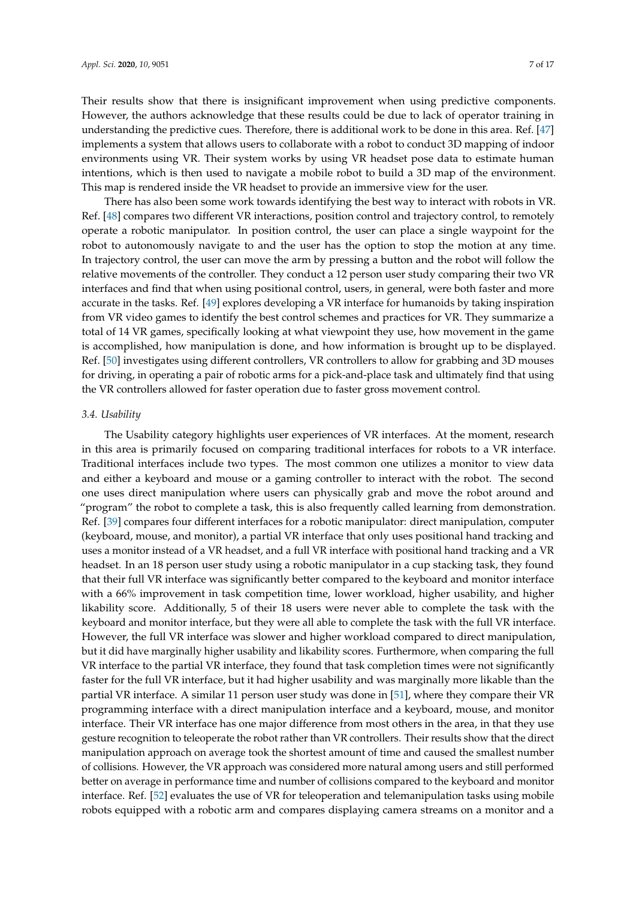Their results show that there is insignificant improvement when using predictive components. However, the authors acknowledge that these results could be due to lack of operator training in understanding the predictive cues. Therefore, there is additional work to be done in this area. Ref. [\[47\]](#page-15-4) implements a system that allows users to collaborate with a robot to conduct 3D mapping of indoor environments using VR. Their system works by using VR headset pose data to estimate human intentions, which is then used to navigate a mobile robot to build a 3D map of the environment. This map is rendered inside the VR headset to provide an immersive view for the user.

There has also been some work towards identifying the best way to interact with robots in VR. Ref. [\[48\]](#page-15-5) compares two different VR interactions, position control and trajectory control, to remotely operate a robotic manipulator. In position control, the user can place a single waypoint for the robot to autonomously navigate to and the user has the option to stop the motion at any time. In trajectory control, the user can move the arm by pressing a button and the robot will follow the relative movements of the controller. They conduct a 12 person user study comparing their two VR interfaces and find that when using positional control, users, in general, were both faster and more accurate in the tasks. Ref. [\[49\]](#page-15-6) explores developing a VR interface for humanoids by taking inspiration from VR video games to identify the best control schemes and practices for VR. They summarize a total of 14 VR games, specifically looking at what viewpoint they use, how movement in the game is accomplished, how manipulation is done, and how information is brought up to be displayed. Ref. [\[50\]](#page-15-7) investigates using different controllers, VR controllers to allow for grabbing and 3D mouses for driving, in operating a pair of robotic arms for a pick-and-place task and ultimately find that using the VR controllers allowed for faster operation due to faster gross movement control.

## *3.4. Usability*

The Usability category highlights user experiences of VR interfaces. At the moment, research in this area is primarily focused on comparing traditional interfaces for robots to a VR interface. Traditional interfaces include two types. The most common one utilizes a monitor to view data and either a keyboard and mouse or a gaming controller to interact with the robot. The second one uses direct manipulation where users can physically grab and move the robot around and "program" the robot to complete a task, this is also frequently called learning from demonstration. Ref. [\[39\]](#page-14-15) compares four different interfaces for a robotic manipulator: direct manipulation, computer (keyboard, mouse, and monitor), a partial VR interface that only uses positional hand tracking and uses a monitor instead of a VR headset, and a full VR interface with positional hand tracking and a VR headset. In an 18 person user study using a robotic manipulator in a cup stacking task, they found that their full VR interface was significantly better compared to the keyboard and monitor interface with a 66% improvement in task competition time, lower workload, higher usability, and higher likability score. Additionally, 5 of their 18 users were never able to complete the task with the keyboard and monitor interface, but they were all able to complete the task with the full VR interface. However, the full VR interface was slower and higher workload compared to direct manipulation, but it did have marginally higher usability and likability scores. Furthermore, when comparing the full VR interface to the partial VR interface, they found that task completion times were not significantly faster for the full VR interface, but it had higher usability and was marginally more likable than the partial VR interface. A similar 11 person user study was done in [\[51\]](#page-15-8), where they compare their VR programming interface with a direct manipulation interface and a keyboard, mouse, and monitor interface. Their VR interface has one major difference from most others in the area, in that they use gesture recognition to teleoperate the robot rather than VR controllers. Their results show that the direct manipulation approach on average took the shortest amount of time and caused the smallest number of collisions. However, the VR approach was considered more natural among users and still performed better on average in performance time and number of collisions compared to the keyboard and monitor interface. Ref. [\[52\]](#page-15-9) evaluates the use of VR for teleoperation and telemanipulation tasks using mobile robots equipped with a robotic arm and compares displaying camera streams on a monitor and a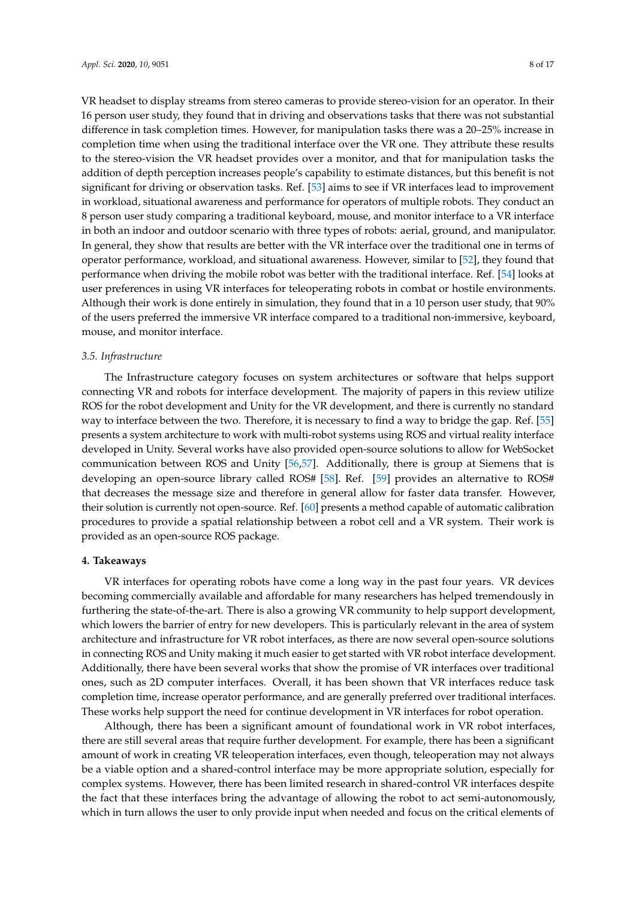VR headset to display streams from stereo cameras to provide stereo-vision for an operator. In their 16 person user study, they found that in driving and observations tasks that there was not substantial difference in task completion times. However, for manipulation tasks there was a 20–25% increase in completion time when using the traditional interface over the VR one. They attribute these results to the stereo-vision the VR headset provides over a monitor, and that for manipulation tasks the addition of depth perception increases people's capability to estimate distances, but this benefit is not significant for driving or observation tasks. Ref. [\[53\]](#page-15-10) aims to see if VR interfaces lead to improvement in workload, situational awareness and performance for operators of multiple robots. They conduct an 8 person user study comparing a traditional keyboard, mouse, and monitor interface to a VR interface in both an indoor and outdoor scenario with three types of robots: aerial, ground, and manipulator. In general, they show that results are better with the VR interface over the traditional one in terms of operator performance, workload, and situational awareness. However, similar to [\[52\]](#page-15-9), they found that performance when driving the mobile robot was better with the traditional interface. Ref. [\[54\]](#page-15-11) looks at user preferences in using VR interfaces for teleoperating robots in combat or hostile environments. Although their work is done entirely in simulation, they found that in a 10 person user study, that 90% of the users preferred the immersive VR interface compared to a traditional non-immersive, keyboard, mouse, and monitor interface.

# *3.5. Infrastructure*

The Infrastructure category focuses on system architectures or software that helps support connecting VR and robots for interface development. The majority of papers in this review utilize ROS for the robot development and Unity for the VR development, and there is currently no standard way to interface between the two. Therefore, it is necessary to find a way to bridge the gap. Ref. [\[55\]](#page-15-12) presents a system architecture to work with multi-robot systems using ROS and virtual reality interface developed in Unity. Several works have also provided open-source solutions to allow for WebSocket communication between ROS and Unity [\[56](#page-15-13)[,57\]](#page-15-14). Additionally, there is group at Siemens that is developing an open-source library called ROS# [\[58\]](#page-15-15). Ref. [\[59\]](#page-16-0) provides an alternative to ROS# that decreases the message size and therefore in general allow for faster data transfer. However, their solution is currently not open-source. Ref. [\[60\]](#page-16-1) presents a method capable of automatic calibration procedures to provide a spatial relationship between a robot cell and a VR system. Their work is provided as an open-source ROS package.

## **4. Takeaways**

VR interfaces for operating robots have come a long way in the past four years. VR devices becoming commercially available and affordable for many researchers has helped tremendously in furthering the state-of-the-art. There is also a growing VR community to help support development, which lowers the barrier of entry for new developers. This is particularly relevant in the area of system architecture and infrastructure for VR robot interfaces, as there are now several open-source solutions in connecting ROS and Unity making it much easier to get started with VR robot interface development. Additionally, there have been several works that show the promise of VR interfaces over traditional ones, such as 2D computer interfaces. Overall, it has been shown that VR interfaces reduce task completion time, increase operator performance, and are generally preferred over traditional interfaces. These works help support the need for continue development in VR interfaces for robot operation.

Although, there has been a significant amount of foundational work in VR robot interfaces, there are still several areas that require further development. For example, there has been a significant amount of work in creating VR teleoperation interfaces, even though, teleoperation may not always be a viable option and a shared-control interface may be more appropriate solution, especially for complex systems. However, there has been limited research in shared-control VR interfaces despite the fact that these interfaces bring the advantage of allowing the robot to act semi-autonomously, which in turn allows the user to only provide input when needed and focus on the critical elements of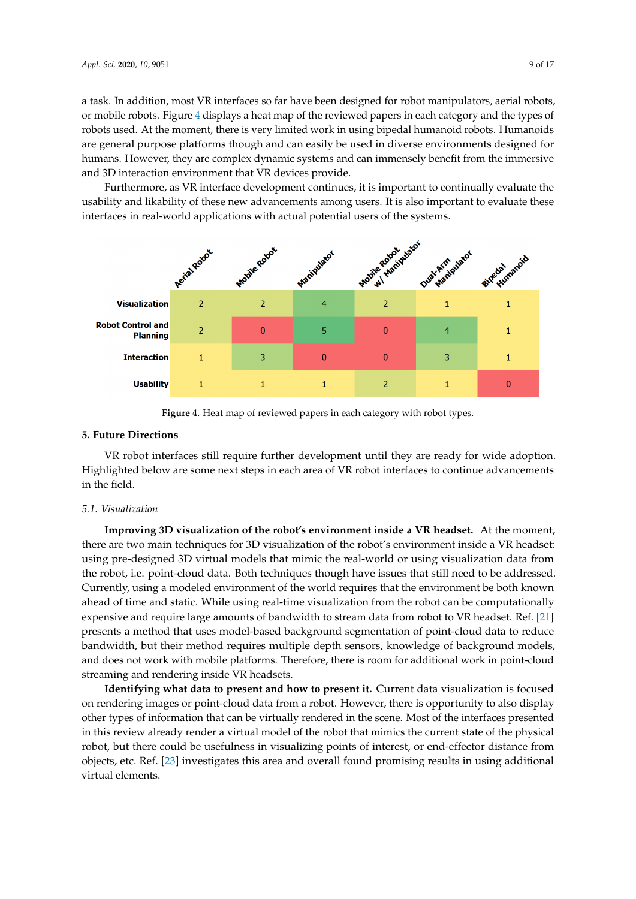a task. In addition, most VR interfaces so far have been designed for robot manipulators, aerial robots, or mobile robots. Figure [4](#page-8-0) displays a heat map of the reviewed papers in each category and the types of robots used. At the moment, there is very limited work in using bipedal humanoid robots. Humanoids are general purpose platforms though and can easily be used in diverse environments designed for humans. However, they are complex dynamic systems and can immensely benefit from the immersive and 3D interaction environment that VR devices provide.

Furthermore, as VR interface development continues, it is important to continually evaluate the usability and likability of these new advancements among users. It is also important to evaluate these interfaces in real-world applications with actual potential users of the systems.

<span id="page-8-0"></span>



# **5. Future Directions**

VR robot interfaces still require further development until they are ready for wide adoption. Highlighted below are some next steps in each area of VR robot interfaces to continue advancements in the field.

# *5.1. Visualization*

**Improving 3D visualization of the robot's environment inside a VR headset.** At the moment, there are two main techniques for 3D visualization of the robot's environment inside a VR headset: using pre-designed 3D virtual models that mimic the real-world or using visualization data from the robot, i.e. point-cloud data. Both techniques though have issues that still need to be addressed. Currently, using a modeled environment of the world requires that the environment be both known ahead of time and static. While using real-time visualization from the robot can be computationally expensive and require large amounts of bandwidth to stream data from robot to VR headset. Ref. [\[21\]](#page-13-13) presents a method that uses model-based background segmentation of point-cloud data to reduce bandwidth, but their method requires multiple depth sensors, knowledge of background models, and does not work with mobile platforms. Therefore, there is room for additional work in point-cloud streaming and rendering inside VR headsets.

**Identifying what data to present and how to present it.** Current data visualization is focused on rendering images or point-cloud data from a robot. However, there is opportunity to also display other types of information that can be virtually rendered in the scene. Most of the interfaces presented in this review already render a virtual model of the robot that mimics the current state of the physical robot, but there could be usefulness in visualizing points of interest, or end-effector distance from objects, etc. Ref. [\[23\]](#page-13-15) investigates this area and overall found promising results in using additional virtual elements.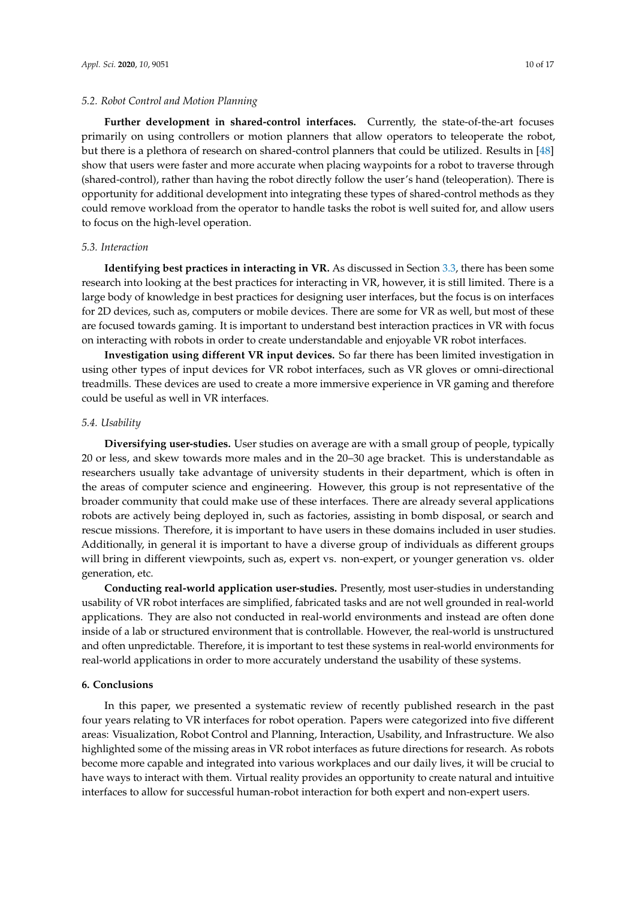#### *5.2. Robot Control and Motion Planning*

**Further development in shared-control interfaces.** Currently, the state-of-the-art focuses primarily on using controllers or motion planners that allow operators to teleoperate the robot, but there is a plethora of research on shared-control planners that could be utilized. Results in [\[48\]](#page-15-5) show that users were faster and more accurate when placing waypoints for a robot to traverse through (shared-control), rather than having the robot directly follow the user's hand (teleoperation). There is opportunity for additional development into integrating these types of shared-control methods as they could remove workload from the operator to handle tasks the robot is well suited for, and allow users to focus on the high-level operation.

#### *5.3. Interaction*

**Identifying best practices in interacting in VR.** As discussed in Section [3.3,](#page-5-0) there has been some research into looking at the best practices for interacting in VR, however, it is still limited. There is a large body of knowledge in best practices for designing user interfaces, but the focus is on interfaces for 2D devices, such as, computers or mobile devices. There are some for VR as well, but most of these are focused towards gaming. It is important to understand best interaction practices in VR with focus on interacting with robots in order to create understandable and enjoyable VR robot interfaces.

**Investigation using different VR input devices.** So far there has been limited investigation in using other types of input devices for VR robot interfaces, such as VR gloves or omni-directional treadmills. These devices are used to create a more immersive experience in VR gaming and therefore could be useful as well in VR interfaces.

# *5.4. Usability*

**Diversifying user-studies.** User studies on average are with a small group of people, typically 20 or less, and skew towards more males and in the 20–30 age bracket. This is understandable as researchers usually take advantage of university students in their department, which is often in the areas of computer science and engineering. However, this group is not representative of the broader community that could make use of these interfaces. There are already several applications robots are actively being deployed in, such as factories, assisting in bomb disposal, or search and rescue missions. Therefore, it is important to have users in these domains included in user studies. Additionally, in general it is important to have a diverse group of individuals as different groups will bring in different viewpoints, such as, expert vs. non-expert, or younger generation vs. older generation, etc.

**Conducting real-world application user-studies.** Presently, most user-studies in understanding usability of VR robot interfaces are simplified, fabricated tasks and are not well grounded in real-world applications. They are also not conducted in real-world environments and instead are often done inside of a lab or structured environment that is controllable. However, the real-world is unstructured and often unpredictable. Therefore, it is important to test these systems in real-world environments for real-world applications in order to more accurately understand the usability of these systems.

# **6. Conclusions**

In this paper, we presented a systematic review of recently published research in the past four years relating to VR interfaces for robot operation. Papers were categorized into five different areas: Visualization, Robot Control and Planning, Interaction, Usability, and Infrastructure. We also highlighted some of the missing areas in VR robot interfaces as future directions for research. As robots become more capable and integrated into various workplaces and our daily lives, it will be crucial to have ways to interact with them. Virtual reality provides an opportunity to create natural and intuitive interfaces to allow for successful human-robot interaction for both expert and non-expert users.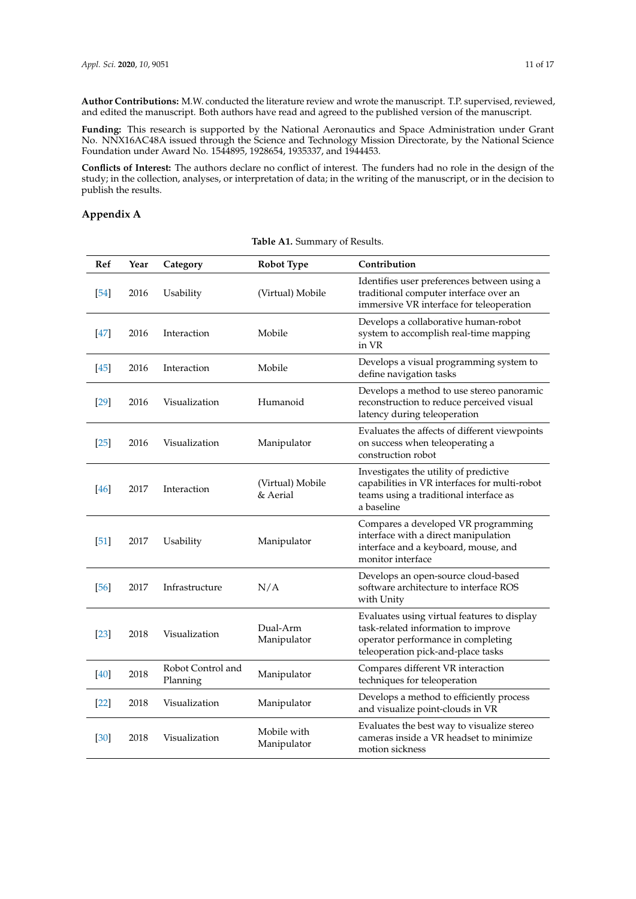**Author Contributions:** M.W. conducted the literature review and wrote the manuscript. T.P. supervised, reviewed, and edited the manuscript. Both authors have read and agreed to the published version of the manuscript.

**Funding:** This research is supported by the National Aeronautics and Space Administration under Grant No. NNX16AC48A issued through the Science and Technology Mission Directorate, by the National Science Foundation under Award No. 1544895, 1928654, 1935337, and 1944453.

**Conflicts of Interest:** The authors declare no conflict of interest. The funders had no role in the design of the study; in the collection, analyses, or interpretation of data; in the writing of the manuscript, or in the decision to publish the results.

# <span id="page-10-0"></span>**Appendix A**

| Ref         | Year | Category                      | <b>Robot Type</b>            | Contribution                                                                                                                                                   |
|-------------|------|-------------------------------|------------------------------|----------------------------------------------------------------------------------------------------------------------------------------------------------------|
| $\sqrt{54}$ | 2016 | Usability                     | (Virtual) Mobile             | Identifies user preferences between using a<br>traditional computer interface over an<br>immersive VR interface for teleoperation                              |
| $[47]$      | 2016 | Interaction                   | Mobile                       | Develops a collaborative human-robot<br>system to accomplish real-time mapping<br>in VR                                                                        |
| [45]        | 2016 | Interaction                   | Mobile                       | Develops a visual programming system to<br>define navigation tasks                                                                                             |
| $[29]$      | 2016 | Visualization                 | Humanoid                     | Develops a method to use stereo panoramic<br>reconstruction to reduce perceived visual<br>latency during teleoperation                                         |
| [25]        | 2016 | Visualization                 | Manipulator                  | Evaluates the affects of different viewpoints<br>on success when teleoperating a<br>construction robot                                                         |
| [46]        | 2017 | Interaction                   | (Virtual) Mobile<br>& Aerial | Investigates the utility of predictive<br>capabilities in VR interfaces for multi-robot<br>teams using a traditional interface as<br>a baseline                |
| $[51]$      | 2017 | Usability                     | Manipulator                  | Compares a developed VR programming<br>interface with a direct manipulation<br>interface and a keyboard, mouse, and<br>monitor interface                       |
| [56]        | 2017 | Infrastructure                | N/A                          | Develops an open-source cloud-based<br>software architecture to interface ROS<br>with Unity                                                                    |
| $[23]$      | 2018 | Visualization                 | Dual-Arm<br>Manipulator      | Evaluates using virtual features to display<br>task-related information to improve<br>operator performance in completing<br>teleoperation pick-and-place tasks |
| [40]        | 2018 | Robot Control and<br>Planning | Manipulator                  | Compares different VR interaction<br>techniques for teleoperation                                                                                              |
| $[22]$      | 2018 | Visualization                 | Manipulator                  | Develops a method to efficiently process<br>and visualize point-clouds in VR                                                                                   |
| [30]        | 2018 | Visualization                 | Mobile with<br>Manipulator   | Evaluates the best way to visualize stereo<br>cameras inside a VR headset to minimize<br>motion sickness                                                       |

**Table A1.** Summary of Results.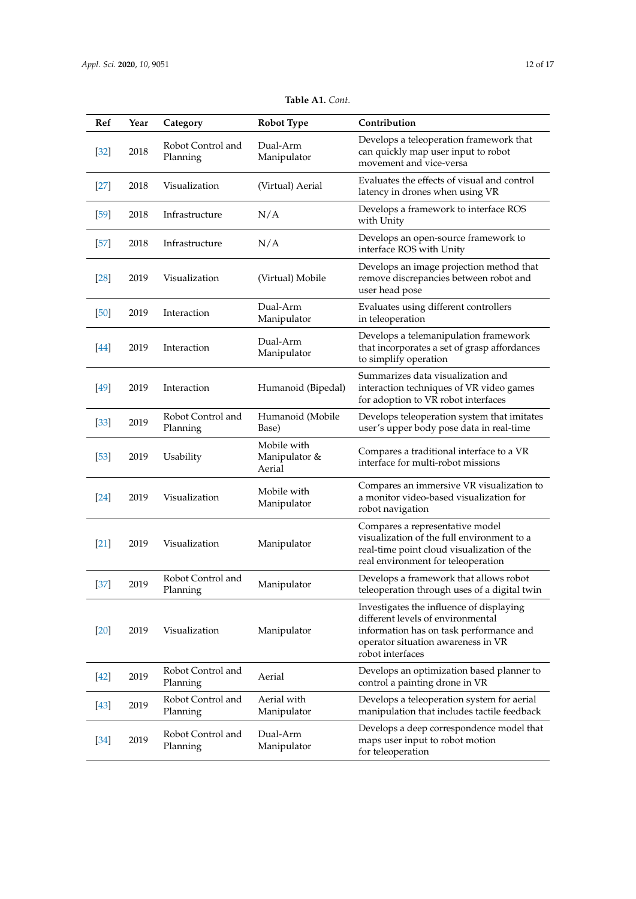| Ref    | Year | Category                      | <b>Robot Type</b>                      | Contribution                                                                                                                                                                       |
|--------|------|-------------------------------|----------------------------------------|------------------------------------------------------------------------------------------------------------------------------------------------------------------------------------|
| $[32]$ | 2018 | Robot Control and<br>Planning | Dual-Arm<br>Manipulator                | Develops a teleoperation framework that<br>can quickly map user input to robot<br>movement and vice-versa                                                                          |
| $[27]$ | 2018 | Visualization                 | (Virtual) Aerial                       | Evaluates the effects of visual and control<br>latency in drones when using VR                                                                                                     |
| $[59]$ | 2018 | Infrastructure                | N/A                                    | Develops a framework to interface ROS<br>with Unity                                                                                                                                |
| $[57]$ | 2018 | Infrastructure                | N/A                                    | Develops an open-source framework to<br>interface ROS with Unity                                                                                                                   |
| $[28]$ | 2019 | Visualization                 | (Virtual) Mobile                       | Develops an image projection method that<br>remove discrepancies between robot and<br>user head pose                                                                               |
| $[50]$ | 2019 | Interaction                   | Dual-Arm<br>Manipulator                | Evaluates using different controllers<br>in teleoperation                                                                                                                          |
| $[44]$ | 2019 | Interaction                   | Dual-Arm<br>Manipulator                | Develops a telemanipulation framework<br>that incorporates a set of grasp affordances<br>to simplify operation                                                                     |
| $[49]$ | 2019 | Interaction                   | Humanoid (Bipedal)                     | Summarizes data visualization and<br>interaction techniques of VR video games<br>for adoption to VR robot interfaces                                                               |
| $[33]$ | 2019 | Robot Control and<br>Planning | Humanoid (Mobile<br>Base)              | Develops teleoperation system that imitates<br>user's upper body pose data in real-time                                                                                            |
| $[53]$ | 2019 | Usability                     | Mobile with<br>Manipulator &<br>Aerial | Compares a traditional interface to a VR<br>interface for multi-robot missions                                                                                                     |
| [24]   | 2019 | Visualization                 | Mobile with<br>Manipulator             | Compares an immersive VR visualization to<br>a monitor video-based visualization for<br>robot navigation                                                                           |
| $[21]$ | 2019 | Visualization                 | Manipulator                            | Compares a representative model<br>visualization of the full environment to a<br>real-time point cloud visualization of the<br>real environment for teleoperation                  |
| $[37]$ | 2019 | Robot Control and<br>Planning | Manipulator                            | Develops a framework that allows robot<br>teleoperation through uses of a digital twin                                                                                             |
| $[20]$ | 2019 | Visualization                 | Manipulator                            | Investigates the influence of displaying<br>different levels of environmental<br>information has on task performance and<br>operator situation awareness in VR<br>robot interfaces |
| $[42]$ | 2019 | Robot Control and<br>Planning | Aerial                                 | Develops an optimization based planner to<br>control a painting drone in VR                                                                                                        |
| $[43]$ | 2019 | Robot Control and<br>Planning | Aerial with<br>Manipulator             | Develops a teleoperation system for aerial<br>manipulation that includes tactile feedback                                                                                          |
| $[34]$ | 2019 | Robot Control and<br>Planning | Dual-Arm<br>Manipulator                | Develops a deep correspondence model that<br>maps user input to robot motion<br>for teleoperation                                                                                  |

**Table A1.** *Cont.*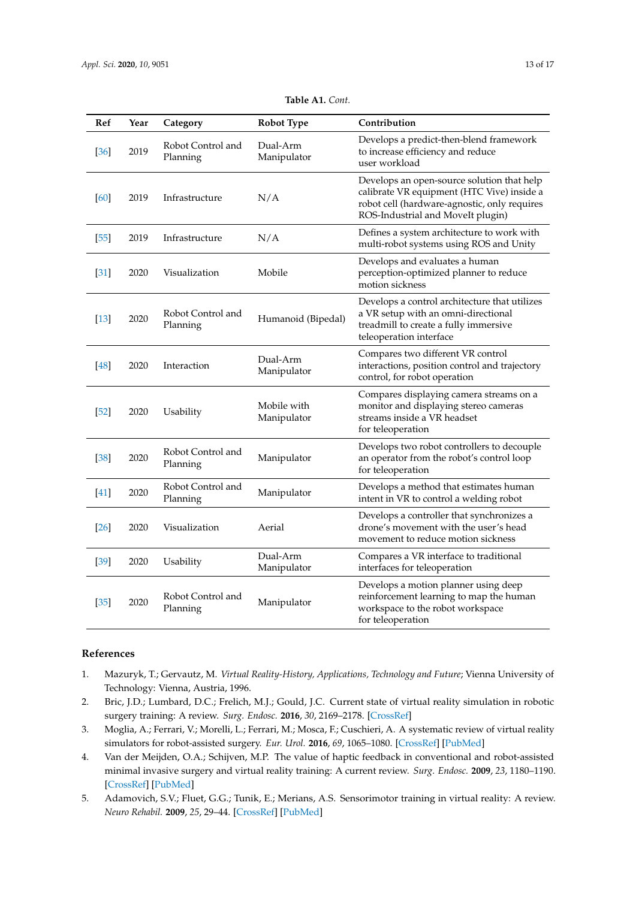| Ref               | Year | Category                      | Robot Type                 | Contribution                                                                                                                                                                  |
|-------------------|------|-------------------------------|----------------------------|-------------------------------------------------------------------------------------------------------------------------------------------------------------------------------|
| [36]              | 2019 | Robot Control and<br>Planning | Dual-Arm<br>Manipulator    | Develops a predict-then-blend framework<br>to increase efficiency and reduce<br>user workload                                                                                 |
| [60]              | 2019 | Infrastructure                | N/A                        | Develops an open-source solution that help<br>calibrate VR equipment (HTC Vive) inside a<br>robot cell (hardware-agnostic, only requires<br>ROS-Industrial and MoveIt plugin) |
| $[55]$            | 2019 | Infrastructure                | N/A                        | Defines a system architecture to work with<br>multi-robot systems using ROS and Unity                                                                                         |
| $[31]$            | 2020 | Visualization                 | Mobile                     | Develops and evaluates a human<br>perception-optimized planner to reduce<br>motion sickness                                                                                   |
| $[13]$            | 2020 | Robot Control and<br>Planning | Humanoid (Bipedal)         | Develops a control architecture that utilizes<br>a VR setup with an omni-directional<br>treadmill to create a fully immersive<br>teleoperation interface                      |
| [48]              | 2020 | Interaction                   | Dual-Arm<br>Manipulator    | Compares two different VR control<br>interactions, position control and trajectory<br>control, for robot operation                                                            |
| $\left[52\right]$ | 2020 | Usability                     | Mobile with<br>Manipulator | Compares displaying camera streams on a<br>monitor and displaying stereo cameras<br>streams inside a VR headset<br>for teleoperation                                          |
| $[38]$            | 2020 | Robot Control and<br>Planning | Manipulator                | Develops two robot controllers to decouple<br>an operator from the robot's control loop<br>for teleoperation                                                                  |
| $[41]$            | 2020 | Robot Control and<br>Planning | Manipulator                | Develops a method that estimates human<br>intent in VR to control a welding robot                                                                                             |
| $[26]$            | 2020 | Visualization                 | Aerial                     | Develops a controller that synchronizes a<br>drone's movement with the user's head<br>movement to reduce motion sickness                                                      |
| $[39]$            | 2020 | Usability                     | Dual-Arm<br>Manipulator    | Compares a VR interface to traditional<br>interfaces for teleoperation                                                                                                        |
| $[35]$            | 2020 | Robot Control and<br>Planning | Manipulator                | Develops a motion planner using deep<br>reinforcement learning to map the human<br>workspace to the robot workspace<br>for teleoperation                                      |

**Table A1.** *Cont.*

# **References**

- <span id="page-12-0"></span>1. Mazuryk, T.; Gervautz, M. *Virtual Reality-History, Applications, Technology and Future*; Vienna University of Technology: Vienna, Austria, 1996.
- <span id="page-12-1"></span>2. Bric, J.D.; Lumbard, D.C.; Frelich, M.J.; Gould, J.C. Current state of virtual reality simulation in robotic surgery training: A review. *Surg. Endosc.* **2016**, *30*, 2169–2178. [\[CrossRef\]](http://dx.doi.org/10.1007/s00464-015-4517-y)
- 3. Moglia, A.; Ferrari, V.; Morelli, L.; Ferrari, M.; Mosca, F.; Cuschieri, A. A systematic review of virtual reality simulators for robot-assisted surgery. *Eur. Urol.* **2016**, *69*, 1065–1080. [\[CrossRef\]](http://dx.doi.org/10.1016/j.eururo.2015.09.021) [\[PubMed\]](http://www.ncbi.nlm.nih.gov/pubmed/26433570)
- <span id="page-12-2"></span>4. Van der Meijden, O.A.; Schijven, M.P. The value of haptic feedback in conventional and robot-assisted minimal invasive surgery and virtual reality training: A current review. *Surg. Endosc.* **2009**, *23*, 1180–1190. [\[CrossRef\]](http://dx.doi.org/10.1007/s00464-008-0298-x) [\[PubMed\]](http://www.ncbi.nlm.nih.gov/pubmed/19118414)
- <span id="page-12-3"></span>5. Adamovich, S.V.; Fluet, G.G.; Tunik, E.; Merians, A.S. Sensorimotor training in virtual reality: A review. *Neuro Rehabil.* **2009**, *25*, 29–44. [\[CrossRef\]](http://dx.doi.org/10.3233/NRE-2009-0497) [\[PubMed\]](http://www.ncbi.nlm.nih.gov/pubmed/19713617)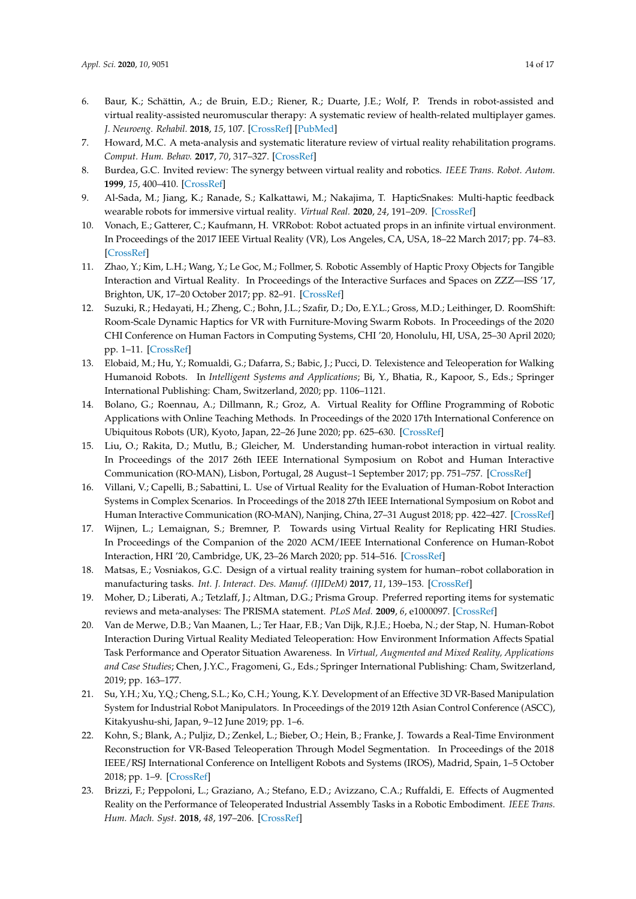- 6. Baur, K.; Schättin, A.; de Bruin, E.D.; Riener, R.; Duarte, J.E.; Wolf, P. Trends in robot-assisted and virtual reality-assisted neuromuscular therapy: A systematic review of health-related multiplayer games. *J. Neuroeng. Rehabil.* **2018**, *15*, 107. [\[CrossRef\]](http://dx.doi.org/10.1186/s12984-018-0449-9) [\[PubMed\]](http://www.ncbi.nlm.nih.gov/pubmed/30454009)
- <span id="page-13-0"></span>7. Howard, M.C. A meta-analysis and systematic literature review of virtual reality rehabilitation programs. *Comput. Hum. Behav.* **2017**, *70*, 317–327. [\[CrossRef\]](http://dx.doi.org/10.1016/j.chb.2017.01.013)
- <span id="page-13-1"></span>8. Burdea, G.C. Invited review: The synergy between virtual reality and robotics. *IEEE Trans. Robot. Autom.* **1999**, *15*, 400–410. [\[CrossRef\]](http://dx.doi.org/10.1109/70.768174)
- <span id="page-13-2"></span>9. Al-Sada, M.; Jiang, K.; Ranade, S.; Kalkattawi, M.; Nakajima, T. HapticSnakes: Multi-haptic feedback wearable robots for immersive virtual reality. *Virtual Real.* **2020**, *24*, 191–209. [\[CrossRef\]](http://dx.doi.org/10.1007/s10055-019-00404-x)
- <span id="page-13-3"></span>10. Vonach, E.; Gatterer, C.; Kaufmann, H. VRRobot: Robot actuated props in an infinite virtual environment. In Proceedings of the 2017 IEEE Virtual Reality (VR), Los Angeles, CA, USA, 18–22 March 2017; pp. 74–83. [\[CrossRef\]](http://dx.doi.org/10.1109/VR.2017.7892233)
- <span id="page-13-4"></span>11. Zhao, Y.; Kim, L.H.; Wang, Y.; Le Goc, M.; Follmer, S. Robotic Assembly of Haptic Proxy Objects for Tangible Interaction and Virtual Reality. In Proceedings of the Interactive Surfaces and Spaces on ZZZ—ISS '17, Brighton, UK, 17–20 October 2017; pp. 82–91. [\[CrossRef\]](http://dx.doi.org/10.1145/3132272.3134143)
- <span id="page-13-5"></span>12. Suzuki, R.; Hedayati, H.; Zheng, C.; Bohn, J.L.; Szafir, D.; Do, E.Y.L.; Gross, M.D.; Leithinger, D. RoomShift: Room-Scale Dynamic Haptics for VR with Furniture-Moving Swarm Robots. In Proceedings of the 2020 CHI Conference on Human Factors in Computing Systems, CHI '20, Honolulu, HI, USA, 25–30 April 2020; pp. 1–11. [\[CrossRef\]](http://dx.doi.org/10.1145/3313831.3376523)
- <span id="page-13-6"></span>13. Elobaid, M.; Hu, Y.; Romualdi, G.; Dafarra, S.; Babic, J.; Pucci, D. Telexistence and Teleoperation for Walking Humanoid Robots. In *Intelligent Systems and Applications*; Bi, Y., Bhatia, R., Kapoor, S., Eds.; Springer International Publishing: Cham, Switzerland, 2020; pp. 1106–1121.
- <span id="page-13-7"></span>14. Bolano, G.; Roennau, A.; Dillmann, R.; Groz, A. Virtual Reality for Offline Programming of Robotic Applications with Online Teaching Methods. In Proceedings of the 2020 17th International Conference on Ubiquitous Robots (UR), Kyoto, Japan, 22–26 June 2020; pp. 625–630. [\[CrossRef\]](http://dx.doi.org/10.1109/UR49135.2020.9144806)
- <span id="page-13-8"></span>15. Liu, O.; Rakita, D.; Mutlu, B.; Gleicher, M. Understanding human-robot interaction in virtual reality. In Proceedings of the 2017 26th IEEE International Symposium on Robot and Human Interactive Communication (RO-MAN), Lisbon, Portugal, 28 August–1 September 2017; pp. 751–757. [\[CrossRef\]](http://dx.doi.org/10.1109/ROMAN.2017.8172387)
- 16. Villani, V.; Capelli, B.; Sabattini, L. Use of Virtual Reality for the Evaluation of Human-Robot Interaction Systems in Complex Scenarios. In Proceedings of the 2018 27th IEEE International Symposium on Robot and Human Interactive Communication (RO-MAN), Nanjing, China, 27–31 August 2018; pp. 422–427. [\[CrossRef\]](http://dx.doi.org/10.1109/ROMAN.2018.8525738)
- <span id="page-13-9"></span>17. Wijnen, L.; Lemaignan, S.; Bremner, P. Towards using Virtual Reality for Replicating HRI Studies. In Proceedings of the Companion of the 2020 ACM/IEEE International Conference on Human-Robot Interaction, HRI '20, Cambridge, UK, 23–26 March 2020; pp. 514–516. [\[CrossRef\]](http://dx.doi.org/10.1145/3371382.3378374)
- <span id="page-13-10"></span>18. Matsas, E.; Vosniakos, G.C. Design of a virtual reality training system for human–robot collaboration in manufacturing tasks. *Int. J. Interact. Des. Manuf. (IJIDeM)* **2017**, *11*, 139–153. [\[CrossRef\]](http://dx.doi.org/10.1007/s12008-015-0259-2)
- <span id="page-13-11"></span>19. Moher, D.; Liberati, A.; Tetzlaff, J.; Altman, D.G.; Prisma Group. Preferred reporting items for systematic reviews and meta-analyses: The PRISMA statement. *PLoS Med.* **2009**, *6*, e1000097. [\[CrossRef\]](http://dx.doi.org/10.1371/journal.pmed.1000097)
- <span id="page-13-12"></span>20. Van de Merwe, D.B.; Van Maanen, L.; Ter Haar, F.B.; Van Dijk, R.J.E.; Hoeba, N.; der Stap, N. Human-Robot Interaction During Virtual Reality Mediated Teleoperation: How Environment Information Affects Spatial Task Performance and Operator Situation Awareness. In *Virtual, Augmented and Mixed Reality, Applications and Case Studies*; Chen, J.Y.C., Fragomeni, G., Eds.; Springer International Publishing: Cham, Switzerland, 2019; pp. 163–177.
- <span id="page-13-13"></span>21. Su, Y.H.; Xu, Y.Q.; Cheng, S.L.; Ko, C.H.; Young, K.Y. Development of an Effective 3D VR-Based Manipulation System for Industrial Robot Manipulators. In Proceedings of the 2019 12th Asian Control Conference (ASCC), Kitakyushu-shi, Japan, 9–12 June 2019; pp. 1–6.
- <span id="page-13-14"></span>22. Kohn, S.; Blank, A.; Puljiz, D.; Zenkel, L.; Bieber, O.; Hein, B.; Franke, J. Towards a Real-Time Environment Reconstruction for VR-Based Teleoperation Through Model Segmentation. In Proceedings of the 2018 IEEE/RSJ International Conference on Intelligent Robots and Systems (IROS), Madrid, Spain, 1–5 October 2018; pp. 1–9. [\[CrossRef\]](http://dx.doi.org/10.1109/IROS.2018.8594053)
- <span id="page-13-15"></span>23. Brizzi, F.; Peppoloni, L.; Graziano, A.; Stefano, E.D.; Avizzano, C.A.; Ruffaldi, E. Effects of Augmented Reality on the Performance of Teleoperated Industrial Assembly Tasks in a Robotic Embodiment. *IEEE Trans. Hum. Mach. Syst.* **2018**, *48*, 197–206. [\[CrossRef\]](http://dx.doi.org/10.1109/THMS.2017.2782490)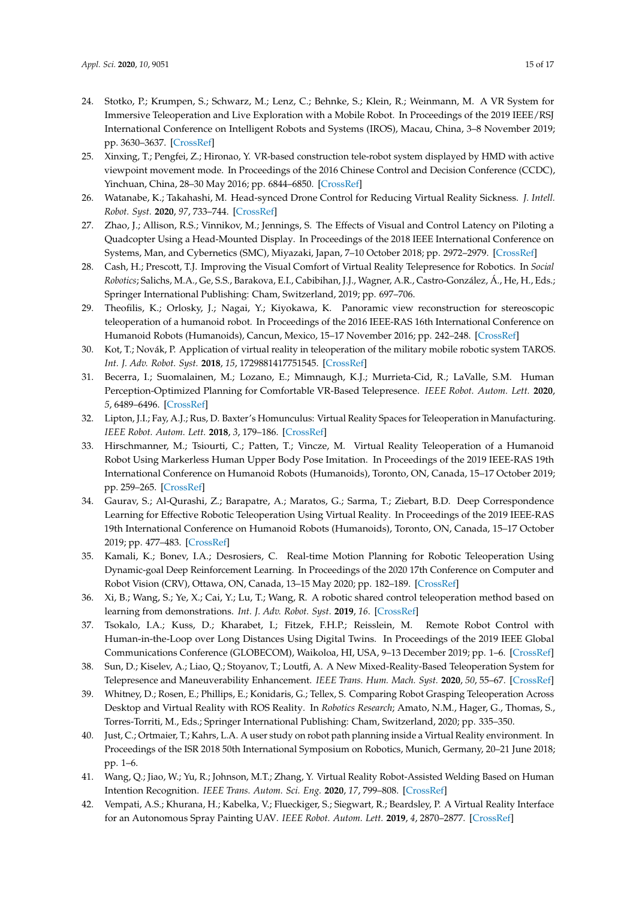- <span id="page-14-0"></span>24. Stotko, P.; Krumpen, S.; Schwarz, M.; Lenz, C.; Behnke, S.; Klein, R.; Weinmann, M. A VR System for Immersive Teleoperation and Live Exploration with a Mobile Robot. In Proceedings of the 2019 IEEE/RSJ International Conference on Intelligent Robots and Systems (IROS), Macau, China, 3–8 November 2019; pp. 3630–3637. [\[CrossRef\]](http://dx.doi.org/10.1109/IROS40897.2019.8968598)
- <span id="page-14-1"></span>25. Xinxing, T.; Pengfei, Z.; Hironao, Y. VR-based construction tele-robot system displayed by HMD with active viewpoint movement mode. In Proceedings of the 2016 Chinese Control and Decision Conference (CCDC), Yinchuan, China, 28–30 May 2016; pp. 6844–6850. [\[CrossRef\]](http://dx.doi.org/10.1109/CCDC.2016.7532231)
- <span id="page-14-2"></span>26. Watanabe, K.; Takahashi, M. Head-synced Drone Control for Reducing Virtual Reality Sickness. *J. Intell. Robot. Syst.* **2020**, *97*, 733–744. [\[CrossRef\]](http://dx.doi.org/10.1007/s10846-019-01054-6)
- <span id="page-14-3"></span>27. Zhao, J.; Allison, R.S.; Vinnikov, M.; Jennings, S. The Effects of Visual and Control Latency on Piloting a Quadcopter Using a Head-Mounted Display. In Proceedings of the 2018 IEEE International Conference on Systems, Man, and Cybernetics (SMC), Miyazaki, Japan, 7–10 October 2018; pp. 2972–2979. [\[CrossRef\]](http://dx.doi.org/10.1109/SMC.2018.00505)
- <span id="page-14-4"></span>28. Cash, H.; Prescott, T.J. Improving the Visual Comfort of Virtual Reality Telepresence for Robotics. In *Social Robotics*; Salichs, M.A., Ge, S.S., Barakova, E.I., Cabibihan, J.J., Wagner, A.R., Castro-González, Á., He, H., Eds.; Springer International Publishing: Cham, Switzerland, 2019; pp. 697–706.
- <span id="page-14-5"></span>29. Theofilis, K.; Orlosky, J.; Nagai, Y.; Kiyokawa, K. Panoramic view reconstruction for stereoscopic teleoperation of a humanoid robot. In Proceedings of the 2016 IEEE-RAS 16th International Conference on Humanoid Robots (Humanoids), Cancun, Mexico, 15–17 November 2016; pp. 242–248. [\[CrossRef\]](http://dx.doi.org/10.1109/HUMANOIDS.2016.7803284)
- <span id="page-14-6"></span>30. Kot, T.; Novák, P. Application of virtual reality in teleoperation of the military mobile robotic system TAROS. *Int. J. Adv. Robot. Syst.* **2018**, *15*, 1729881417751545. [\[CrossRef\]](http://dx.doi.org/10.1177/1729881417751545)
- <span id="page-14-7"></span>31. Becerra, I.; Suomalainen, M.; Lozano, E.; Mimnaugh, K.J.; Murrieta-Cid, R.; LaValle, S.M. Human Perception-Optimized Planning for Comfortable VR-Based Telepresence. *IEEE Robot. Autom. Lett.* **2020**, *5*, 6489–6496. [\[CrossRef\]](http://dx.doi.org/10.1109/LRA.2020.3015191)
- <span id="page-14-8"></span>32. Lipton, J.I.; Fay, A.J.; Rus, D. Baxter's Homunculus: Virtual Reality Spaces for Teleoperation in Manufacturing. *IEEE Robot. Autom. Lett.* **2018**, *3*, 179–186. [\[CrossRef\]](http://dx.doi.org/10.1109/LRA.2017.2737046)
- <span id="page-14-9"></span>33. Hirschmanner, M.; Tsiourti, C.; Patten, T.; Vincze, M. Virtual Reality Teleoperation of a Humanoid Robot Using Markerless Human Upper Body Pose Imitation. In Proceedings of the 2019 IEEE-RAS 19th International Conference on Humanoid Robots (Humanoids), Toronto, ON, Canada, 15–17 October 2019; pp. 259–265. [\[CrossRef\]](http://dx.doi.org/10.1109/Humanoids43949.2019.9035064)
- <span id="page-14-10"></span>34. Gaurav, S.; Al-Qurashi, Z.; Barapatre, A.; Maratos, G.; Sarma, T.; Ziebart, B.D. Deep Correspondence Learning for Effective Robotic Teleoperation Using Virtual Reality. In Proceedings of the 2019 IEEE-RAS 19th International Conference on Humanoid Robots (Humanoids), Toronto, ON, Canada, 15–17 October 2019; pp. 477–483. [\[CrossRef\]](http://dx.doi.org/10.1109/Humanoids43949.2019.9035031)
- <span id="page-14-11"></span>35. Kamali, K.; Bonev, I.A.; Desrosiers, C. Real-time Motion Planning for Robotic Teleoperation Using Dynamic-goal Deep Reinforcement Learning. In Proceedings of the 2020 17th Conference on Computer and Robot Vision (CRV), Ottawa, ON, Canada, 13–15 May 2020; pp. 182–189. [\[CrossRef\]](http://dx.doi.org/10.1109/CRV50864.2020.00032)
- <span id="page-14-12"></span>36. Xi, B.; Wang, S.; Ye, X.; Cai, Y.; Lu, T.; Wang, R. A robotic shared control teleoperation method based on learning from demonstrations. *Int. J. Adv. Robot. Syst.* **2019**, *16*. [\[CrossRef\]](http://dx.doi.org/10.1177/1729881419857428)
- <span id="page-14-13"></span>37. Tsokalo, I.A.; Kuss, D.; Kharabet, I.; Fitzek, F.H.P.; Reisslein, M. Remote Robot Control with Human-in-the-Loop over Long Distances Using Digital Twins. In Proceedings of the 2019 IEEE Global Communications Conference (GLOBECOM), Waikoloa, HI, USA, 9–13 December 2019; pp. 1–6. [\[CrossRef\]](http://dx.doi.org/10.1109/GLOBECOM38437.2019.9013428)
- <span id="page-14-14"></span>38. Sun, D.; Kiselev, A.; Liao, Q.; Stoyanov, T.; Loutfi, A. A New Mixed-Reality-Based Teleoperation System for Telepresence and Maneuverability Enhancement. *IEEE Trans. Hum. Mach. Syst.* **2020**, *50*, 55–67. [\[CrossRef\]](http://dx.doi.org/10.1109/THMS.2019.2960676)
- <span id="page-14-15"></span>39. Whitney, D.; Rosen, E.; Phillips, E.; Konidaris, G.; Tellex, S. Comparing Robot Grasping Teleoperation Across Desktop and Virtual Reality with ROS Reality. In *Robotics Research*; Amato, N.M., Hager, G., Thomas, S., Torres-Torriti, M., Eds.; Springer International Publishing: Cham, Switzerland, 2020; pp. 335–350.
- <span id="page-14-16"></span>40. Just, C.; Ortmaier, T.; Kahrs, L.A. A user study on robot path planning inside a Virtual Reality environment. In Proceedings of the ISR 2018 50th International Symposium on Robotics, Munich, Germany, 20–21 June 2018; pp. 1–6.
- <span id="page-14-17"></span>41. Wang, Q.; Jiao, W.; Yu, R.; Johnson, M.T.; Zhang, Y. Virtual Reality Robot-Assisted Welding Based on Human Intention Recognition. *IEEE Trans. Autom. Sci. Eng.* **2020**, *17*, 799–808. [\[CrossRef\]](http://dx.doi.org/10.1109/TASE.2019.2945607)
- <span id="page-14-18"></span>42. Vempati, A.S.; Khurana, H.; Kabelka, V.; Flueckiger, S.; Siegwart, R.; Beardsley, P. A Virtual Reality Interface for an Autonomous Spray Painting UAV. *IEEE Robot. Autom. Lett.* **2019**, *4*, 2870–2877. [\[CrossRef\]](http://dx.doi.org/10.1109/LRA.2019.2922588)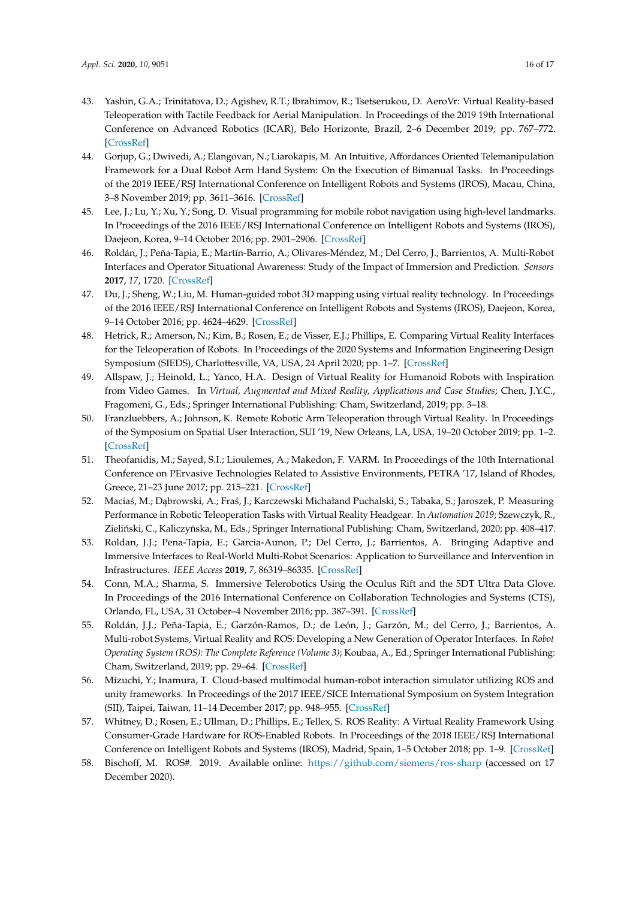- <span id="page-15-0"></span>43. Yashin, G.A.; Trinitatova, D.; Agishev, R.T.; Ibrahimov, R.; Tsetserukou, D. AeroVr: Virtual Reality-based Teleoperation with Tactile Feedback for Aerial Manipulation. In Proceedings of the 2019 19th International Conference on Advanced Robotics (ICAR), Belo Horizonte, Brazil, 2–6 December 2019; pp. 767–772. [\[CrossRef\]](http://dx.doi.org/10.1109/ICAR46387.2019.8981574)
- <span id="page-15-1"></span>44. Gorjup, G.; Dwivedi, A.; Elangovan, N.; Liarokapis, M. An Intuitive, Affordances Oriented Telemanipulation Framework for a Dual Robot Arm Hand System: On the Execution of Bimanual Tasks. In Proceedings of the 2019 IEEE/RSJ International Conference on Intelligent Robots and Systems (IROS), Macau, China, 3–8 November 2019; pp. 3611–3616. [\[CrossRef\]](http://dx.doi.org/10.1109/IROS40897.2019.8967782)
- <span id="page-15-2"></span>45. Lee, J.; Lu, Y.; Xu, Y.; Song, D. Visual programming for mobile robot navigation using high-level landmarks. In Proceedings of the 2016 IEEE/RSJ International Conference on Intelligent Robots and Systems (IROS), Daejeon, Korea, 9–14 October 2016; pp. 2901–2906. [\[CrossRef\]](http://dx.doi.org/10.1109/IROS.2016.7759449)
- <span id="page-15-3"></span>46. Roldán, J.; Peña-Tapia, E.; Martín-Barrio, A.; Olivares-Méndez, M.; Del Cerro, J.; Barrientos, A. Multi-Robot Interfaces and Operator Situational Awareness: Study of the Impact of Immersion and Prediction. *Sensors* **2017**, *17*, 1720. [\[CrossRef\]](http://dx.doi.org/10.3390/s17081720)
- <span id="page-15-4"></span>47. Du, J.; Sheng, W.; Liu, M. Human-guided robot 3D mapping using virtual reality technology. In Proceedings of the 2016 IEEE/RSJ International Conference on Intelligent Robots and Systems (IROS), Daejeon, Korea, 9–14 October 2016; pp. 4624–4629. [\[CrossRef\]](http://dx.doi.org/10.1109/IROS.2016.7759680)
- <span id="page-15-5"></span>48. Hetrick, R.; Amerson, N.; Kim, B.; Rosen, E.; de Visser, E.J.; Phillips, E. Comparing Virtual Reality Interfaces for the Teleoperation of Robots. In Proceedings of the 2020 Systems and Information Engineering Design Symposium (SIEDS), Charlottesville, VA, USA, 24 April 2020; pp. 1–7. [\[CrossRef\]](http://dx.doi.org/10.1109/SIEDS49339.2020.9106630)
- <span id="page-15-6"></span>49. Allspaw, J.; Heinold, L.; Yanco, H.A. Design of Virtual Reality for Humanoid Robots with Inspiration from Video Games. In *Virtual, Augmented and Mixed Reality, Applications and Case Studies*; Chen, J.Y.C., Fragomeni, G., Eds.; Springer International Publishing: Cham, Switzerland, 2019; pp. 3–18.
- <span id="page-15-7"></span>50. Franzluebbers, A.; Johnson, K. Remote Robotic Arm Teleoperation through Virtual Reality. In Proceedings of the Symposium on Spatial User Interaction, SUI '19, New Orleans, LA, USA, 19–20 October 2019; pp. 1–2. [\[CrossRef\]](http://dx.doi.org/10.1145/3357251.3359444)
- <span id="page-15-8"></span>51. Theofanidis, M.; Sayed, S.I.; Lioulemes, A.; Makedon, F. VARM. In Proceedings of the 10th International Conference on PErvasive Technologies Related to Assistive Environments, PETRA '17, Island of Rhodes, Greece, 21–23 June 2017; pp. 215–221. [\[CrossRef\]](http://dx.doi.org/10.1145/3056540.3056541)
- <span id="page-15-9"></span>52. Maciaś, M.; Dąbrowski, A.; Fraś, J.; Karczewski Michałand Puchalski, S.; Tabaka, S.; Jaroszek, P. Measuring Performance in Robotic Teleoperation Tasks with Virtual Reality Headgear. In *Automation 2019*; Szewczyk, R., Zieliński, C., Kaliczyńska, M., Eds.; Springer International Publishing: Cham, Switzerland, 2020; pp. 408–417.
- <span id="page-15-10"></span>53. Roldan, J.J.; Pena-Tapia, E.; Garcia-Aunon, P.; Del Cerro, J.; Barrientos, A. Bringing Adaptive and Immersive Interfaces to Real-World Multi-Robot Scenarios: Application to Surveillance and Intervention in Infrastructures. *IEEE Access* **2019**, *7*, 86319–86335. [\[CrossRef\]](http://dx.doi.org/10.1109/ACCESS.2019.2924938)
- <span id="page-15-11"></span>54. Conn, M.A.; Sharma, S. Immersive Telerobotics Using the Oculus Rift and the 5DT Ultra Data Glove. In Proceedings of the 2016 International Conference on Collaboration Technologies and Systems (CTS), Orlando, FL, USA, 31 October–4 November 2016; pp. 387–391. [\[CrossRef\]](http://dx.doi.org/10.1109/CTS.2016.0075)
- <span id="page-15-12"></span>55. Roldán, J.J.; Peña-Tapia, E.; Garzón-Ramos, D.; de León, J.; Garzón, M.; del Cerro, J.; Barrientos, A. Multi-robot Systems, Virtual Reality and ROS: Developing a New Generation of Operator Interfaces. In *Robot Operating System (ROS): The Complete Reference (Volume 3)*; Koubaa, A., Ed.; Springer International Publishing: Cham, Switzerland, 2019; pp. 29–64. [\[CrossRef\]](http://dx.doi.org/10.1007/978-3-319-91590-6_2)
- <span id="page-15-13"></span>56. Mizuchi, Y.; Inamura, T. Cloud-based multimodal human-robot interaction simulator utilizing ROS and unity frameworks. In Proceedings of the 2017 IEEE/SICE International Symposium on System Integration (SII), Taipei, Taiwan, 11–14 December 2017; pp. 948–955. [\[CrossRef\]](http://dx.doi.org/10.1109/SII.2017.8279345)
- <span id="page-15-14"></span>57. Whitney, D.; Rosen, E.; Ullman, D.; Phillips, E.; Tellex, S. ROS Reality: A Virtual Reality Framework Using Consumer-Grade Hardware for ROS-Enabled Robots. In Proceedings of the 2018 IEEE/RSJ International Conference on Intelligent Robots and Systems (IROS), Madrid, Spain, 1–5 October 2018; pp. 1–9. [\[CrossRef\]](http://dx.doi.org/10.1109/IROS.2018.8593513)
- <span id="page-15-15"></span>58. Bischoff, M. ROS#. 2019. Available online: <https://github.com/siemens/ros-sharp> (accessed on 17 December 2020).